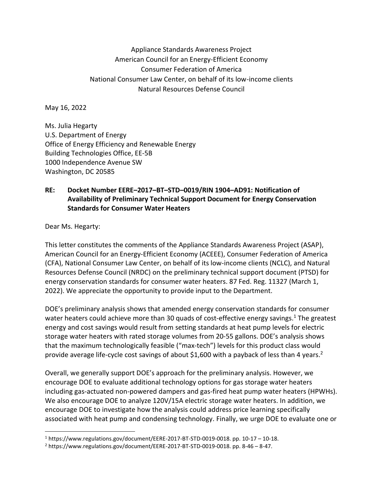## Appliance Standards Awareness Project American Council for an Energy-Efficient Economy Consumer Federation of America National Consumer Law Center, on behalf of its low-income clients Natural Resources Defense Council

May 16, 2022

Ms. Julia Hegarty U.S. Department of Energy Office of Energy Efficiency and Renewable Energy Building Technologies Office, EE-5B 1000 Independence Avenue SW Washington, DC 20585

## **RE: Docket Number EERE–2017–BT–STD–0019/RIN 1904–AD91: Notification of Availability of Preliminary Technical Support Document for Energy Conservation Standards for Consumer Water Heaters**

Dear Ms. Hegarty:

This letter constitutes the comments of the Appliance Standards Awareness Project (ASAP), American Council for an Energy-Efficient Economy (ACEEE), Consumer Federation of America (CFA), National Consumer Law Center, on behalf of its low-income clients (NCLC), and Natural Resources Defense Council (NRDC) on the preliminary technical support document (PTSD) for energy conservation standards for consumer water heaters. 87 Fed. Reg. 11327 (March 1, 2022). We appreciate the opportunity to provide input to the Department.

DOE's preliminary analysis shows that amended energy conservation standards for consumer water heaters could achieve more than 30 quads of cost-effective energy savings.<sup>1</sup> The greatest energy and cost savings would result from setting standards at heat pump levels for electric storage water heaters with rated storage volumes from 20-55 gallons. DOE's analysis shows that the maximum technologically feasible ("max-tech") levels for this product class would provide average life-cycle cost savings of about \$1,600 with a payback of less than 4 years.<sup>2</sup>

Overall, we generally support DOE's approach for the preliminary analysis. However, we encourage DOE to evaluate additional technology options for gas storage water heaters including gas-actuated non-powered dampers and gas-fired heat pump water heaters (HPWHs). We also encourage DOE to analyze 120V/15A electric storage water heaters. In addition, we encourage DOE to investigate how the analysis could address price learning specifically associated with heat pump and condensing technology. Finally, we urge DOE to evaluate one or

 $1$  https://www.regulations.gov/document/EERE-2017-BT-STD-0019-0018. pp. 10-17 – 10-18.

<sup>2</sup> https://www.regulations.gov/document/EERE-2017-BT-STD-0019-0018. pp. 8-46 – 8-47.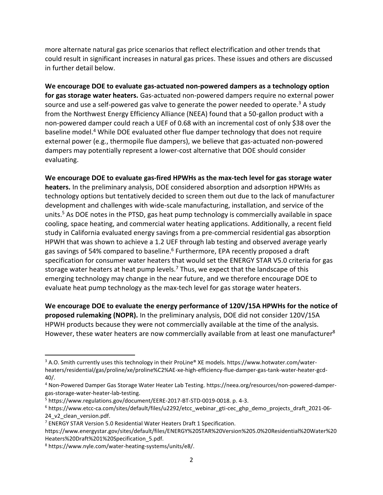more alternate natural gas price scenarios that reflect electrification and other trends that could result in significant increases in natural gas prices. These issues and others are discussed in further detail below.

**We encourage DOE to evaluate gas-actuated non-powered dampers as a technology option for gas storage water heaters.** Gas-actuated non-powered dampers require no external power source and use a self-powered gas valve to generate the power needed to operate.<sup>3</sup> A study from the Northwest Energy Efficiency Alliance (NEEA) found that a 50-gallon product with a non-powered damper could reach a UEF of 0.68 with an incremental cost of only \$38 over the baseline model.<sup>4</sup> While DOE evaluated other flue damper technology that does not require external power (e.g., thermopile flue dampers), we believe that gas-actuated non-powered dampers may potentially represent a lower-cost alternative that DOE should consider evaluating.

**We encourage DOE to evaluate gas-fired HPWHs as the max-tech level for gas storage water heaters.** In the preliminary analysis, DOE considered absorption and adsorption HPWHs as technology options but tentatively decided to screen them out due to the lack of manufacturer development and challenges with wide-scale manufacturing, installation, and service of the units.<sup>5</sup> As DOE notes in the PTSD, gas heat pump technology is commercially available in space cooling, space heating, and commercial water heating applications. Additionally, a recent field study in California evaluated energy savings from a pre-commercial residential gas absorption HPWH that was shown to achieve a 1.2 UEF through lab testing and observed average yearly gas savings of 54% compared to baseline.<sup>6</sup> Furthermore, EPA recently proposed a draft specification for consumer water heaters that would set the ENERGY STAR V5.0 criteria for gas storage water heaters at heat pump levels.<sup>7</sup> Thus, we expect that the landscape of this emerging technology may change in the near future, and we therefore encourage DOE to evaluate heat pump technology as the max-tech level for gas storage water heaters.

**We encourage DOE to evaluate the energy performance of 120V/15A HPWHs for the notice of proposed rulemaking (NOPR).** In the preliminary analysis, DOE did not consider 120V/15A HPWH products because they were not commercially available at the time of the analysis. However, these water heaters are now commercially available from at least one manufacturer<sup>8</sup>

<sup>3</sup> A.O. Smith currently uses this technology in their ProLine® XE models. https://www.hotwater.com/waterheaters/residential/gas/proline/xe/proline%C2%AE-xe-high-efficiency-flue-damper-gas-tank-water-heater-gcd-40/.

<sup>4</sup> Non-Powered Damper Gas Storage Water Heater Lab Testing. https://neea.org/resources/non-powered-dampergas-storage-water-heater-lab-testing.

<sup>5</sup> https://www.regulations.gov/document/EERE-2017-BT-STD-0019-0018. p. 4-3.

<sup>6</sup> https://www.etcc-ca.com/sites/default/files/u2292/etcc\_webinar\_gti-cec\_ghp\_demo\_projects\_draft\_2021-06- 24 v2 clean version.pdf.

<sup>7</sup> ENERGY STAR Version 5.0 Residential Water Heaters Draft 1 Specification.

https://www.energystar.gov/sites/default/files/ENERGY%20STAR%20Version%205.0%20Residential%20Water%20 Heaters%20Draft%201%20Specification\_5.pdf.

<sup>8</sup> https://www.nyle.com/water-heating-systems/units/e8/.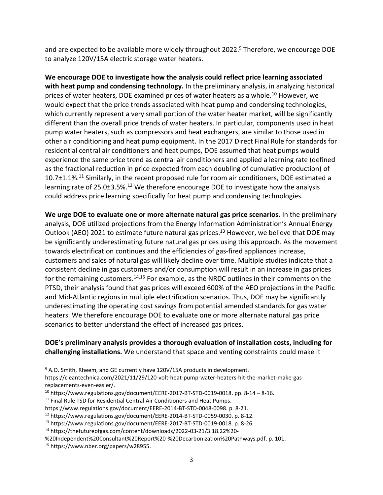and are expected to be available more widely throughout 2022.<sup>9</sup> Therefore, we encourage DOE to analyze 120V/15A electric storage water heaters.

**We encourage DOE to investigate how the analysis could reflect price learning associated with heat pump and condensing technology.** In the preliminary analysis, in analyzing historical prices of water heaters, DOE examined prices of water heaters as a whole.<sup>10</sup> However, we would expect that the price trends associated with heat pump and condensing technologies, which currently represent a very small portion of the water heater market, will be significantly different than the overall price trends of water heaters. In particular, components used in heat pump water heaters, such as compressors and heat exchangers, are similar to those used in other air conditioning and heat pump equipment. In the 2017 Direct Final Rule for standards for residential central air conditioners and heat pumps, DOE assumed that heat pumps would experience the same price trend as central air conditioners and applied a learning rate (defined as the fractional reduction in price expected from each doubling of cumulative production) of 10.7±1.1%.<sup>11</sup> Similarly, in the recent proposed rule for room air conditioners, DOE estimated a learning rate of 25.0±3.5%.<sup>12</sup> We therefore encourage DOE to investigate how the analysis could address price learning specifically for heat pump and condensing technologies.

**We urge DOE to evaluate one or more alternate natural gas price scenarios.** In the preliminary analysis, DOE utilized projections from the Energy Information Administration's Annual Energy Outlook (AEO) 2021 to estimate future natural gas prices.<sup>13</sup> However, we believe that DOE may be significantly underestimating future natural gas prices using this approach. As the movement towards electrification continues and the efficiencies of gas-fired appliances increase, customers and sales of natural gas will likely decline over time. Multiple studies indicate that a consistent decline in gas customers and/or consumption will result in an increase in gas prices for the remaining customers.<sup>14,15</sup> For example, as the NRDC outlines in their comments on the PTSD, their analysis found that gas prices will exceed 600% of the AEO projections in the Pacific and Mid-Atlantic regions in multiple electrification scenarios. Thus, DOE may be significantly underestimating the operating cost savings from potential amended standards for gas water heaters. We therefore encourage DOE to evaluate one or more alternate natural gas price scenarios to better understand the effect of increased gas prices.

**DOE's preliminary analysis provides a thorough evaluation of installation costs, including for challenging installations.** We understand that space and venting constraints could make it

<sup>&</sup>lt;sup>9</sup> A.O. Smith, Rheem, and GE currently have 120V/15A products in development.

https://cleantechnica.com/2021/11/29/120-volt-heat-pump-water-heaters-hit-the-market-make-gasreplacements-even-easier/.

<sup>10</sup> https://www.regulations.gov/document/EERE-2017-BT-STD-0019-0018. pp. 8-14 – 8-16.

<sup>&</sup>lt;sup>11</sup> Final Rule TSD for Residential Central Air Conditioners and Heat Pumps.

https://www.regulations.gov/document/EERE-2014-BT-STD-0048-0098. p. 8-21.

<sup>12</sup> https://www.regulations.gov/document/EERE-2014-BT-STD-0059-0030. p. 8-12.

<sup>13</sup> https://www.regulations.gov/document/EERE-2017-BT-STD-0019-0018. p. 8-26.

<sup>14</sup> https://thefutureofgas.com/content/downloads/2022-03-21/3.18.22%20-

<sup>%20</sup>Independent%20Consultant%20Report%20-%20Decarbonization%20Pathways.pdf. p. 101.

<sup>15</sup> https://www.nber.org/papers/w28955.